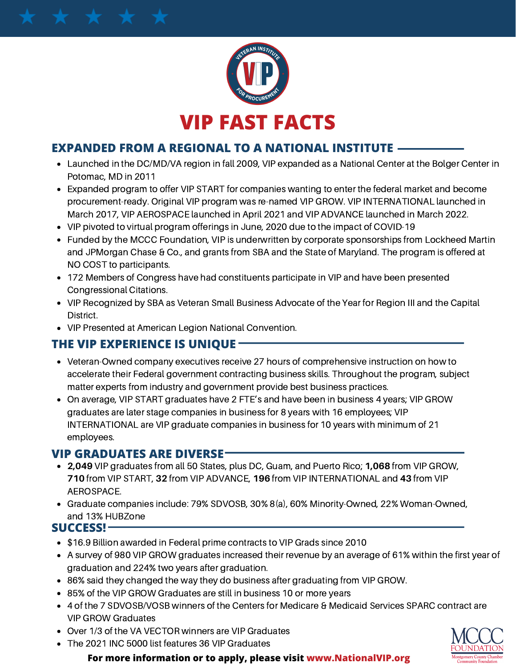

## **EXPANDED FROM A REGIONAL TO A NATIONAL INSTITUTE**

- Launched in the DC/MD/VA region in fall 2009, VIP expanded as a National Center at the Bolger Center in Potomac, MD in 2011
- Expanded program to offer VIP START for companies wanting to enter the federal market and become procurement-ready. Original VIP program was re-named VIP GROW. VIP INTERNATIONAL launched in March 2017, VIP AEROSPACE launched in April 2021 and VIP ADVANCE launched in March 2022.
- VIP pivoted to virtual program offerings in June, 2020 due to the impact of COVID-19
- Funded by the MCCC Foundation, VIP is underwritten by corporate sponsorships from Lockheed Martin and JPMorgan Chase & Co., and grants from SBA and the State of Maryland. The program is offered at NO COST to participants.
- 172 Members of Congress have had constituents participate in VIP and have been presented Congressional Citations.
- VIP Recognized by SBA as Veteran Small Business Advocate of the Year for Region III and the Capital District.
- VIP Presented at American Legion National Convention.

## **THE VIP EXPERIENCE IS UNIQUE**

- Veteran-Owned company executives receive 27 hours of comprehensive instruction on how to accelerate their Federal government contracting business skills. Throughout the program, subject matter experts from industry and government provide best business practices.
- On average, VIP START graduates have 2 FTE's and have been in business 4 years; VIP GROW graduates are later stage companies in business for 8 years with 16 employees; VIP INTERNATIONAL are VIP graduate companies in business for 10 years with minimum of 21 employees.

### **VIP GRADUATES ARE DIVERSE**

- **2,049** VIP graduates from all 50 States, plus DC, Guam, and Puerto Rico; **1,068** from VIP GROW, **710** from VIP START, **32** from VIP ADVANCE, **196** from VIP INTERNATIONAL and **43** from VIP AEROSPACE.
- Graduate companies include: 79% SDVOSB, 30% 8(a), 60% Minority-Owned, 22% Woman-Owned, and 13% HUBZone

#### **SUCCESS!**

- \$16.9 Billion awarded in Federal prime contracts to VIP Grads since 2010
- A survey of 980 VIP GROW graduates increased their revenue by an average of 61% within the first year of graduation and 224% two years after graduation.
- 86% said they changed the way they do business after graduating from VIP GROW.
- 85% of the VIP GROW Graduates are still in business 10 or more years
- 4 of the 7 SDVOSB/VOSB winners of the Centers for Medicare & Medicaid Services SPARC contract are VIP GROW Graduates
- Over 1/3 of the VA VECTOR winners are VIP Graduates
- The 2021 INC 5000 list features 36 VIP Graduates

**For more information or to apply, please visit www.NationalVIP.org**